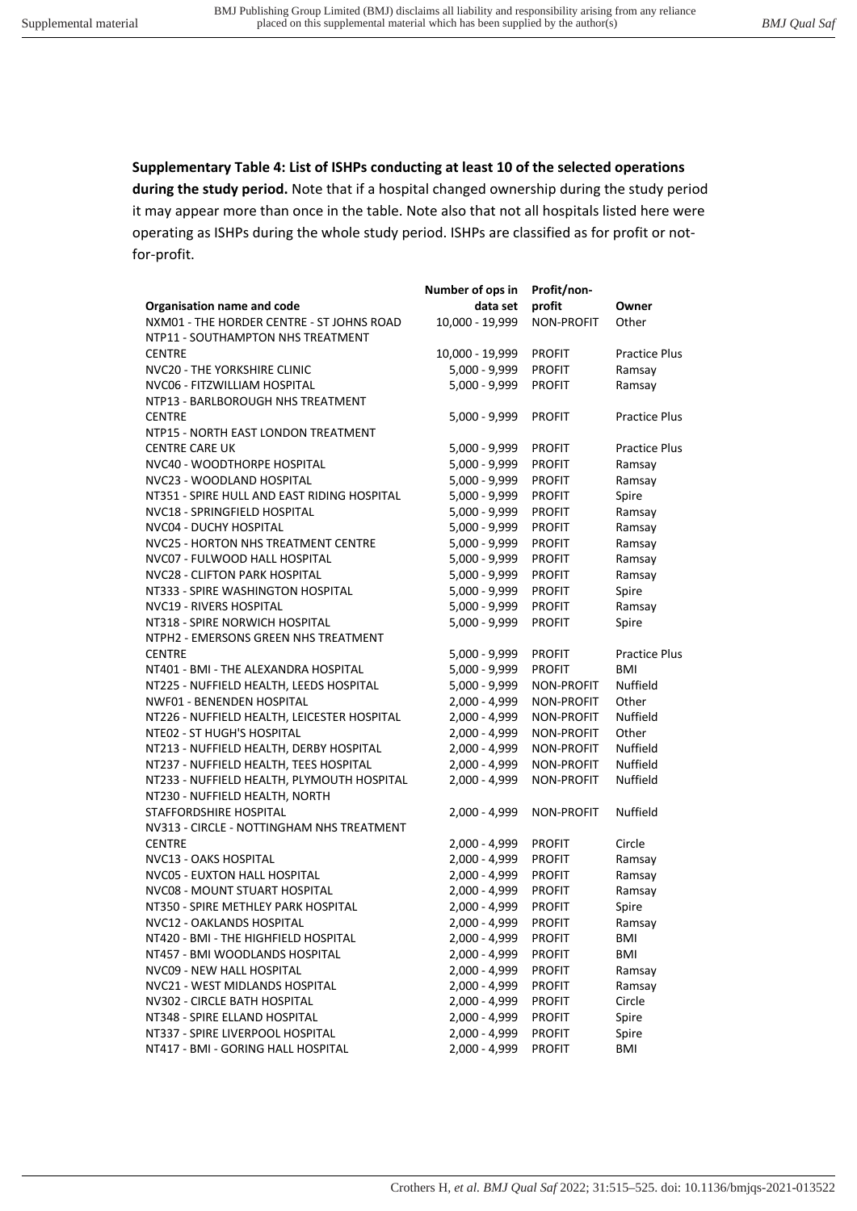**Supplementary Table 4: List of ISHPs conducting at least 10 of the selected operations during the study period.** Note that if a hospital changed ownership during the study period it may appear more than once in the table. Note also that not all hospitals listed here were operating as ISHPs during the whole study period. ISHPs are classified as for profit or notfor-profit.

|                                             | Number of ops in | Profit/non-       |                      |
|---------------------------------------------|------------------|-------------------|----------------------|
| Organisation name and code                  | data set         | profit            | Owner                |
| NXM01 - THE HORDER CENTRE - ST JOHNS ROAD   | 10,000 - 19,999  | NON-PROFIT        | Other                |
| NTP11 - SOUTHAMPTON NHS TREATMENT           |                  |                   |                      |
| <b>CENTRE</b>                               | 10,000 - 19,999  | <b>PROFIT</b>     | <b>Practice Plus</b> |
| NVC20 - THE YORKSHIRE CLINIC                | 5,000 - 9,999    | <b>PROFIT</b>     | Ramsay               |
| NVC06 - FITZWILLIAM HOSPITAL                | 5,000 - 9,999    | <b>PROFIT</b>     | Ramsay               |
| NTP13 - BARLBOROUGH NHS TREATMENT           |                  |                   |                      |
| <b>CENTRE</b>                               | $5,000 - 9,999$  | <b>PROFIT</b>     | <b>Practice Plus</b> |
| NTP15 - NORTH EAST LONDON TREATMENT         |                  |                   |                      |
| <b>CENTRE CARE UK</b>                       | $5,000 - 9,999$  | <b>PROFIT</b>     | <b>Practice Plus</b> |
| NVC40 - WOODTHORPE HOSPITAL                 | 5,000 - 9,999    | <b>PROFIT</b>     | Ramsay               |
| NVC23 - WOODLAND HOSPITAL                   | 5,000 - 9,999    | <b>PROFIT</b>     | Ramsay               |
| NT351 - SPIRE HULL AND EAST RIDING HOSPITAL | 5,000 - 9,999    | <b>PROFIT</b>     | Spire                |
| NVC18 - SPRINGFIELD HOSPITAL                | 5,000 - 9,999    | <b>PROFIT</b>     | Ramsay               |
| NVC04 - DUCHY HOSPITAL                      | 5,000 - 9,999    | <b>PROFIT</b>     | Ramsay               |
| NVC25 - HORTON NHS TREATMENT CENTRE         | 5,000 - 9,999    | <b>PROFIT</b>     | Ramsay               |
| NVC07 - FULWOOD HALL HOSPITAL               | 5,000 - 9,999    | <b>PROFIT</b>     | Ramsay               |
| NVC28 - CLIFTON PARK HOSPITAL               | 5,000 - 9,999    | <b>PROFIT</b>     | Ramsay               |
| NT333 - SPIRE WASHINGTON HOSPITAL           | 5,000 - 9,999    | <b>PROFIT</b>     | Spire                |
| NVC19 - RIVERS HOSPITAL                     | 5,000 - 9,999    | <b>PROFIT</b>     | Ramsay               |
| NT318 - SPIRE NORWICH HOSPITAL              | $5,000 - 9,999$  | <b>PROFIT</b>     | Spire                |
| NTPH2 - EMERSONS GREEN NHS TREATMENT        |                  |                   |                      |
| <b>CENTRE</b>                               | $5,000 - 9,999$  | <b>PROFIT</b>     | Practice Plus        |
| NT401 - BMI - THE ALEXANDRA HOSPITAL        | $5,000 - 9,999$  | <b>PROFIT</b>     | BMI                  |
| NT225 - NUFFIELD HEALTH, LEEDS HOSPITAL     | 5,000 - 9,999    | <b>NON-PROFIT</b> | Nuffield             |
| NWF01 - BENENDEN HOSPITAL                   | 2,000 - 4,999    | <b>NON-PROFIT</b> | Other                |
| NT226 - NUFFIELD HEALTH, LEICESTER HOSPITAL | 2,000 - 4,999    | <b>NON-PROFIT</b> | Nuffield             |
| NTE02 - ST HUGH'S HOSPITAL                  | 2,000 - 4,999    | <b>NON-PROFIT</b> | Other                |
| NT213 - NUFFIELD HEALTH, DERBY HOSPITAL     | 2,000 - 4,999    | <b>NON-PROFIT</b> | Nuffield             |
| NT237 - NUFFIELD HEALTH, TEES HOSPITAL      | 2,000 - 4,999    | <b>NON-PROFIT</b> | Nuffield             |
| NT233 - NUFFIELD HEALTH, PLYMOUTH HOSPITAL  | 2,000 - 4,999    | <b>NON-PROFIT</b> | Nuffield             |
| NT230 - NUFFIELD HEALTH, NORTH              |                  |                   |                      |
| STAFFORDSHIRE HOSPITAL                      | 2,000 - 4,999    | <b>NON-PROFIT</b> | Nuffield             |
| NV313 - CIRCLE - NOTTINGHAM NHS TREATMENT   |                  |                   |                      |
| <b>CENTRE</b>                               | $2,000 - 4,999$  | <b>PROFIT</b>     | Circle               |
| NVC13 - OAKS HOSPITAL                       | 2,000 - 4,999    | <b>PROFIT</b>     | Ramsay               |
| NVC05 - EUXTON HALL HOSPITAL                | 2,000 - 4,999    | <b>PROFIT</b>     | Ramsay               |
| NVC08 - MOUNT STUART HOSPITAL               | 2,000 - 4,999    | <b>PROFIT</b>     | Ramsay               |
| NT350 - SPIRE METHLEY PARK HOSPITAL         | 2,000 - 4,999    | <b>PROFIT</b>     | Spire                |
| NVC12 - OAKLANDS HOSPITAL                   | 2,000 - 4,999    | <b>PROFIT</b>     | Ramsay               |
| NT420 - BMI - THE HIGHFIELD HOSPITAL        | 2,000 - 4,999    | <b>PROFIT</b>     | <b>BMI</b>           |
| NT457 - BMI WOODLANDS HOSPITAL              | 2,000 - 4,999    | <b>PROFIT</b>     | <b>BMI</b>           |
| <b>NVC09 - NEW HALL HOSPITAL</b>            | 2,000 - 4,999    | <b>PROFIT</b>     | Ramsay               |
| NVC21 - WEST MIDLANDS HOSPITAL              | 2,000 - 4,999    | <b>PROFIT</b>     | Ramsay               |
| NV302 - CIRCLE BATH HOSPITAL                | 2,000 - 4,999    | <b>PROFIT</b>     | Circle               |
| NT348 - SPIRE ELLAND HOSPITAL               | 2,000 - 4,999    | <b>PROFIT</b>     | Spire                |
| NT337 - SPIRE LIVERPOOL HOSPITAL            | 2,000 - 4,999    | <b>PROFIT</b>     | Spire                |
| NT417 - BMI - GORING HALL HOSPITAL          | 2,000 - 4,999    | <b>PROFIT</b>     | BMI                  |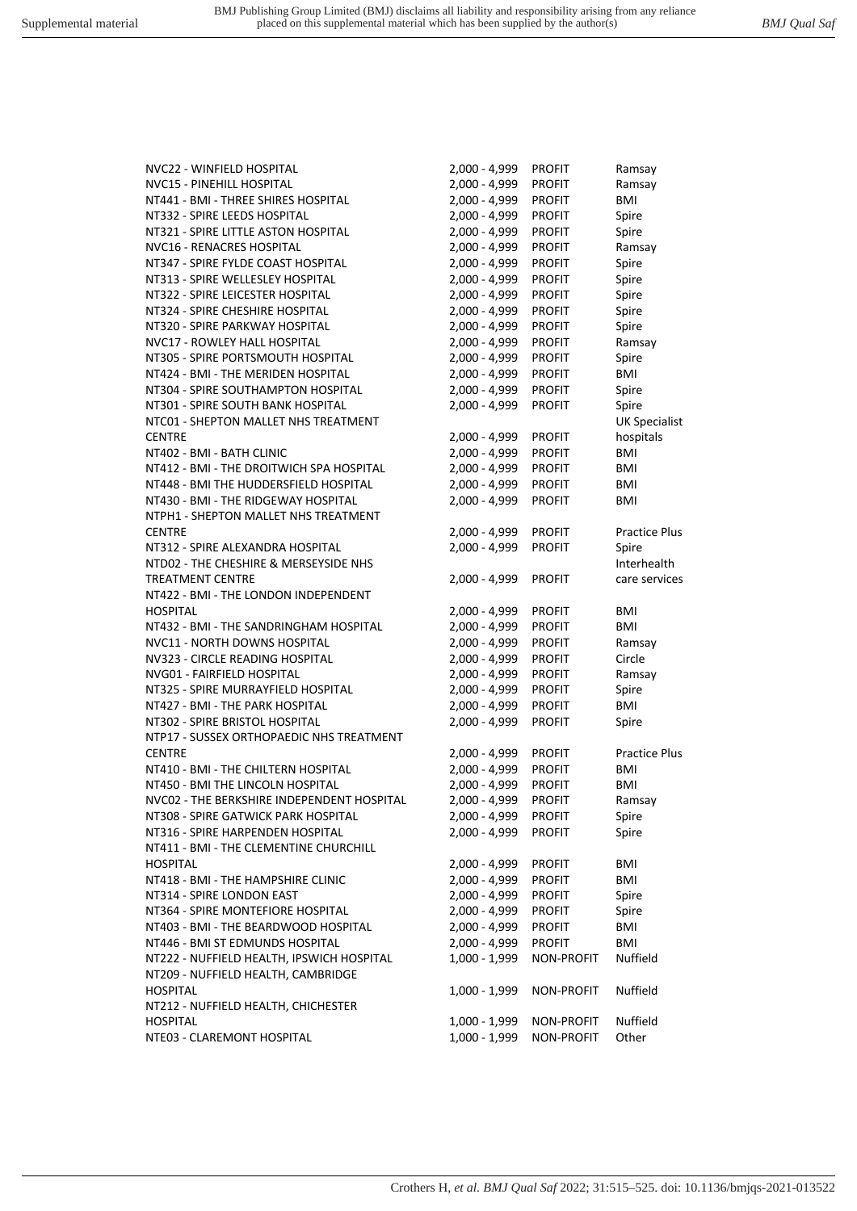Crothers H*, et al. BMJ Qual Saf* 2022; 31:515–525. doi: 10.1136/bmjqs-2021-013522

| NVC22 - WINFIELD HOSPITAL                  | 2,000 - 4,999   | <b>PROFIT</b>     | Ramsay               |
|--------------------------------------------|-----------------|-------------------|----------------------|
| NVC15 - PINEHILL HOSPITAL                  | 2,000 - 4,999   | <b>PROFIT</b>     | Ramsay               |
| NT441 - BMI - THREE SHIRES HOSPITAL        | $2,000 - 4,999$ | <b>PROFIT</b>     | <b>BMI</b>           |
| NT332 - SPIRE LEEDS HOSPITAL               | 2,000 - 4,999   | <b>PROFIT</b>     | Spire                |
| NT321 - SPIRE LITTLE ASTON HOSPITAL        | 2,000 - 4,999   | <b>PROFIT</b>     | Spire                |
| NVC16 - RENACRES HOSPITAL                  | 2,000 - 4,999   | <b>PROFIT</b>     | Ramsay               |
| NT347 - SPIRE FYLDE COAST HOSPITAL         | 2,000 - 4,999   | <b>PROFIT</b>     | Spire                |
| NT313 - SPIRE WELLESLEY HOSPITAL           | 2,000 - 4,999   | <b>PROFIT</b>     | Spire                |
| NT322 - SPIRE LEICESTER HOSPITAL           | 2,000 - 4,999   | <b>PROFIT</b>     | Spire                |
| NT324 - SPIRE CHESHIRE HOSPITAL            | 2,000 - 4,999   | <b>PROFIT</b>     | Spire                |
| NT320 - SPIRE PARKWAY HOSPITAL             | $2,000 - 4,999$ | <b>PROFIT</b>     | Spire                |
| NVC17 - ROWLEY HALL HOSPITAL               | 2,000 - 4,999   | <b>PROFIT</b>     | Ramsay               |
| NT305 - SPIRE PORTSMOUTH HOSPITAL          | 2,000 - 4,999   | <b>PROFIT</b>     | Spire                |
| NT424 - BMI - THE MERIDEN HOSPITAL         | $2,000 - 4,999$ | <b>PROFIT</b>     | BMI                  |
| NT304 - SPIRE SOUTHAMPTON HOSPITAL         | 2,000 - 4,999   | <b>PROFIT</b>     | Spire                |
| NT301 - SPIRE SOUTH BANK HOSPITAL          | 2,000 - 4,999   | <b>PROFIT</b>     | Spire                |
| NTC01 - SHEPTON MALLET NHS TREATMENT       |                 |                   | <b>UK Specialist</b> |
| <b>CENTRE</b>                              | 2,000 - 4,999   | <b>PROFIT</b>     | hospitals            |
| NT402 - BMI - BATH CLINIC                  | 2,000 - 4,999   | <b>PROFIT</b>     | <b>BMI</b>           |
| NT412 - BMI - THE DROITWICH SPA HOSPITAL   | 2,000 - 4,999   | <b>PROFIT</b>     | BMI                  |
|                                            |                 |                   |                      |
| NT448 - BMI THE HUDDERSFIELD HOSPITAL      | $2,000 - 4,999$ | <b>PROFIT</b>     | BMI                  |
| NT430 - BMI - THE RIDGEWAY HOSPITAL        | 2,000 - 4,999   | <b>PROFIT</b>     | <b>BMI</b>           |
| NTPH1 - SHEPTON MALLET NHS TREATMENT       |                 |                   |                      |
| <b>CENTRE</b>                              | 2,000 - 4,999   | <b>PROFIT</b>     | <b>Practice Plus</b> |
| NT312 - SPIRE ALEXANDRA HOSPITAL           | 2,000 - 4,999   | <b>PROFIT</b>     | Spire                |
| NTD02 - THE CHESHIRE & MERSEYSIDE NHS      |                 |                   | Interhealth          |
| <b>TREATMENT CENTRE</b>                    | $2,000 - 4,999$ | <b>PROFIT</b>     | care services        |
| NT422 - BMI - THE LONDON INDEPENDENT       |                 |                   |                      |
| <b>HOSPITAL</b>                            | $2,000 - 4,999$ | <b>PROFIT</b>     | BMI                  |
| NT432 - BMI - THE SANDRINGHAM HOSPITAL     | 2,000 - 4,999   | <b>PROFIT</b>     | <b>BMI</b>           |
| NVC11 - NORTH DOWNS HOSPITAL               | 2,000 - 4,999   | <b>PROFIT</b>     | Ramsay               |
| NV323 - CIRCLE READING HOSPITAL            | 2,000 - 4,999   | <b>PROFIT</b>     | Circle               |
| NVG01 - FAIRFIELD HOSPITAL                 | 2,000 - 4,999   | <b>PROFIT</b>     | Ramsay               |
| NT325 - SPIRE MURRAYFIELD HOSPITAL         | 2,000 - 4,999   | <b>PROFIT</b>     | Spire                |
| NT427 - BMI - THE PARK HOSPITAL            | 2,000 - 4,999   | <b>PROFIT</b>     | BMI                  |
| NT302 - SPIRE BRISTOL HOSPITAL             | 2,000 - 4,999   | <b>PROFIT</b>     | Spire                |
| NTP17 - SUSSEX ORTHOPAEDIC NHS TREATMENT   |                 |                   |                      |
| <b>CENTRE</b>                              | $2,000 - 4,999$ | <b>PROFIT</b>     | <b>Practice Plus</b> |
| NT410 - BMI - THE CHILTERN HOSPITAL        | 2,000 - 4,999   | <b>PROFIT</b>     | BMI                  |
| NT450 - BMI THE LINCOLN HOSPITAL           | 2,000 - 4,999   | <b>PROFIT</b>     | BMI                  |
| NVC02 - THE BERKSHIRE INDEPENDENT HOSPITAL | 2,000 - 4,999   | <b>PROFIT</b>     | Ramsay               |
| NT308 - SPIRE GATWICK PARK HOSPITAL        | $2,000 - 4,999$ | <b>PROFIT</b>     | Spire                |
| NT316 - SPIRE HARPENDEN HOSPITAL           | 2,000 - 4,999   | <b>PROFIT</b>     | Spire                |
| NT411 - BMI - THE CLEMENTINE CHURCHILL     |                 |                   |                      |
| <b>HOSPITAL</b>                            | 2,000 - 4,999   | <b>PROFIT</b>     | BMI                  |
| NT418 - BMI - THE HAMPSHIRE CLINIC         | 2,000 - 4,999   | <b>PROFIT</b>     | BMI                  |
| NT314 - SPIRE LONDON EAST                  | 2,000 - 4,999   | <b>PROFIT</b>     | Spire                |
| NT364 - SPIRE MONTEFIORE HOSPITAL          | 2,000 - 4,999   | <b>PROFIT</b>     | Spire                |
| NT403 - BMI - THE BEARDWOOD HOSPITAL       | 2,000 - 4,999   | <b>PROFIT</b>     | BMI                  |
| NT446 - BMI ST EDMUNDS HOSPITAL            | 2,000 - 4,999   | <b>PROFIT</b>     | <b>BMI</b>           |
| NT222 - NUFFIELD HEALTH, IPSWICH HOSPITAL  | $1,000 - 1,999$ | <b>NON-PROFIT</b> | Nuffield             |
| NT209 - NUFFIELD HEALTH, CAMBRIDGE         |                 |                   |                      |
| <b>HOSPITAL</b>                            | $1,000 - 1,999$ | <b>NON-PROFIT</b> | Nuffield             |
| NT212 - NUFFIELD HEALTH, CHICHESTER        |                 |                   |                      |
| <b>HOSPITAL</b>                            | 1,000 - 1,999   | <b>NON-PROFIT</b> | Nuffield             |
| NTE03 - CLAREMONT HOSPITAL                 | 1,000 - 1,999   | <b>NON-PROFIT</b> | Other                |
|                                            |                 |                   |                      |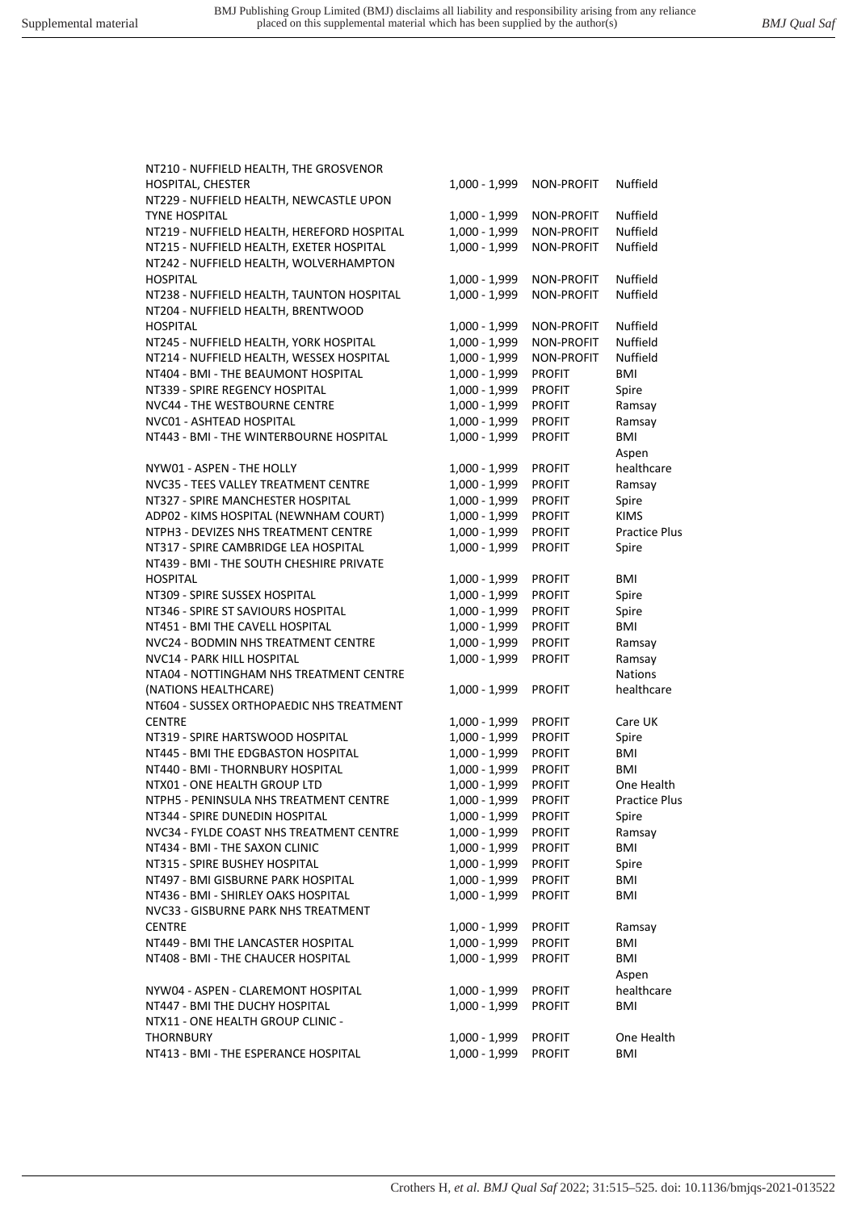NT210 - NUFFIELD HEALTH, THE GROSVENOR HOSPITAL, CHESTER NT229 - NUFFIELD HEALTH, NEWCASTLE UPON **TYNE HOSPITAL** NT219 - NUFFIELD HEALTH, HEREFORD HOSPITAL NT215 - NUFFIELD HEALTH, EXETER HOSPITAL NT242 - NUFFIELD HEALTH, WOLVERHAMPTON HOSPITAL 1,000 - 1,999 NON-PROFIT Nuffield NT238 - NUFFIELD HEALTH, TAUNTON HOSPITAL NT204 - NUFFIELD HEALTH, BRENTWOOD HOSPITAL 1,000 - 1,999 NON-PROFIT Nuffield NT245 - NUFFIELD HEALTH, YORK HOSPITAL NT214 - NUFFIELD HEALTH, WESSEX HOSPITAL NT404 - BMI - THE BEAUMONT HOSPITAL NT339 - SPIRE REGENCY HOSPITAL NVC44 - THE WESTBOURNE CENTRE NVC01 - ASHTFAD HOSPITAL NT443 - BMI - THE WINTERBOURNE HOSPITAL NYW01 - ASPEN - THE HOLLY NVC35 - TEES VALLEY TREATMENT CENTRE NT327 - SPIRE MANCHESTER HOSPITAL ADP02 - KIMS HOSPITAL (NEWNHAM COURT) NTPH3 - DEVIZES NHS TREATMENT CENTRE 1,000 - 1,999 PROFIT Practice Plus NT317 - SPIRE CAMBRIDGE LEA HOSPITAL NT439 - BMI - THE SOUTH CHESHIRE PRIVATE HOSPITAL 1,000 - 1,999 PROFIT BMI NT309 - SPIRE SUSSEX HOSPITAL NT346 - SPIRE ST SAVIOURS HOSPITAL NT451 - BMI THE CAVELL HOSPITAL NVC24 - BODMIN NHS TREATMENT CENTRE NVC14 - PARK HILL HOSPITAL NTA04 - NOTTINGHAM NHS TREATMENT CENTRE (NATIONS HEALTHCARE) NT604 - SUSSEX ORTHOPAEDIC NHS TREATMENT CENTRE 1,000 - 1,999 PROFIT Care UK NT319 - SPIRE HARTSWOOD HOSPITAL NT445 - BMI THE EDGBASTON HOSPITAL NT440 - BMI - THORNBURY HOSPITAL NTX01 - ONE HEALTH GROUP LTD NTPH5 - PENINSULA NHS TREATMENT CENTRE 1,000 - 1,999 PROFIT Practice Plus NT344 - SPIRE DUNEDIN HOSPITAL NVC34 - FYLDE COAST NHS TREATMENT CENTRE NT434 - BMI - THE SAXON CLINIC NT315 - SPIRE BUSHEY HOSPITAL NT497 - BMI GISBURNE PARK HOSPITAL NT436 - BMI - SHIRLEY OAKS HOSPITAL NVC33 - GISBURNE PARK NHS TREATMENT CENTRE 1,000 - 1,999 PROFIT Ramsay NT449 - BMI THE LANCASTER HOSPITAL NT408 - BMI - THE CHAUCER HOSPITAL NYW04 - ASPEN - CLAREMONT HOSPITAL NT447 - BMI THE DUCHY HOSPITAL NTX11 - ONE HEALTH GROUP CLINIC - THORNBURY 1,000 - 1,999 PROFIT One Health NT413 - BMI - THE ESPERANCE HOSPITAL

| 1,000 - 1,999 | <b>NON-PROFIT</b> | Nuffield            |
|---------------|-------------------|---------------------|
| 1,000 - 1,999 | NON-PROFIT        | Nuffield            |
| 1,000 - 1,999 | NON-PROFIT        | Nuffield            |
| 1,000 - 1,999 | <b>NON-PROFIT</b> | Nuffield            |
| 1,000 - 1,999 | NON-PROFIT        | Nuffield            |
| 1,000 - 1,999 | NON-PROFIT        | Nuffield            |
|               |                   |                     |
| 1,000 - 1,999 | NON-PROFIT        | Nuffield            |
| 1,000 - 1,999 | <b>NON-PROFIT</b> | Nuffield            |
| 1,000 - 1,999 | NON-PROFIT        | Nuffield            |
| 1,000 - 1,999 | PROFIT            | BMI                 |
| 1,000 - 1,999 | <b>PROFIT</b>     | Spire               |
| 1,000 - 1,999 | <b>PROFIT</b>     | Ramsay              |
| 1,000 - 1,999 | <b>PROFIT</b>     | Ramsay              |
| 1,000 - 1,999 | <b>PROFIT</b>     | BMI                 |
|               |                   | Aspen               |
| 1,000 - 1,999 | PROFIT            | healthcare          |
| 1,000 - 1,999 | <b>PROFIT</b>     | Ramsay              |
| 1,000 - 1,999 | <b>PROFIT</b>     | Spire               |
| 1,000 - 1,999 | PROFIT            | KIMS                |
| 1,000 - 1,999 | PROFIT            | Practice Plu        |
| 1,000 - 1,999 | PROFIT            | Spire               |
| 1,000 - 1,999 | PROFIT            | BMI                 |
| 1,000 - 1,999 | <b>PROFIT</b>     | Spire               |
| 1,000 - 1,999 | <b>PROFIT</b>     | Spire               |
| 1,000 - 1,999 | <b>PROFIT</b>     | BMI                 |
| 1,000 - 1,999 | PROFIT            | Ramsay              |
| 1,000 - 1,999 | PROFIT            | Ramsay              |
|               |                   | <b>Nations</b>      |
| 1,000 - 1,999 | <b>PROFIT</b>     | healthcare          |
| 1,000 - 1,999 | PROFIT            | Care UK             |
| 1,000 - 1,999 | PROFIT            | Spire               |
| 1,000 - 1,999 | <b>PROFIT</b>     | <b>BMI</b>          |
| 1,000 - 1,999 | <b>PROFIT</b>     | BMI                 |
| 1,000 - 1,999 | <b>PROFIT</b>     | One Health          |
| 1,000 - 1,999 | <b>PROFIT</b>     | <b>Practice Plu</b> |
| 1,000 - 1,999 | <b>PROFIT</b>     | Spire               |
| 1,000 - 1,999 | <b>PROFIT</b>     | Ramsay              |
| 1,000 - 1,999 | <b>PROFIT</b>     | BMI                 |
| 1,000 - 1,999 | <b>PROFIT</b>     | Spire               |
| 1,000 - 1,999 | <b>PROFIT</b>     | BMI                 |
| 1,000 - 1,999 | <b>PROFIT</b>     | BMI                 |
| 1,000 - 1,999 | <b>PROFIT</b>     | Ramsay              |
| 1,000 - 1,999 | <b>PROFIT</b>     | BMI                 |
| 1,000 - 1,999 | <b>PROFIT</b>     | BMI                 |
|               |                   | Aspen               |
| 1,000 - 1,999 | <b>PROFIT</b>     | healthcare          |
| 1,000 - 1,999 | <b>PROFIT</b>     | BMI                 |
|               |                   |                     |
| 1,000 - 1,999 | <b>PROFIT</b>     | One Health          |
| 1,000 - 1,999 | <b>PROFIT</b>     | BMI                 |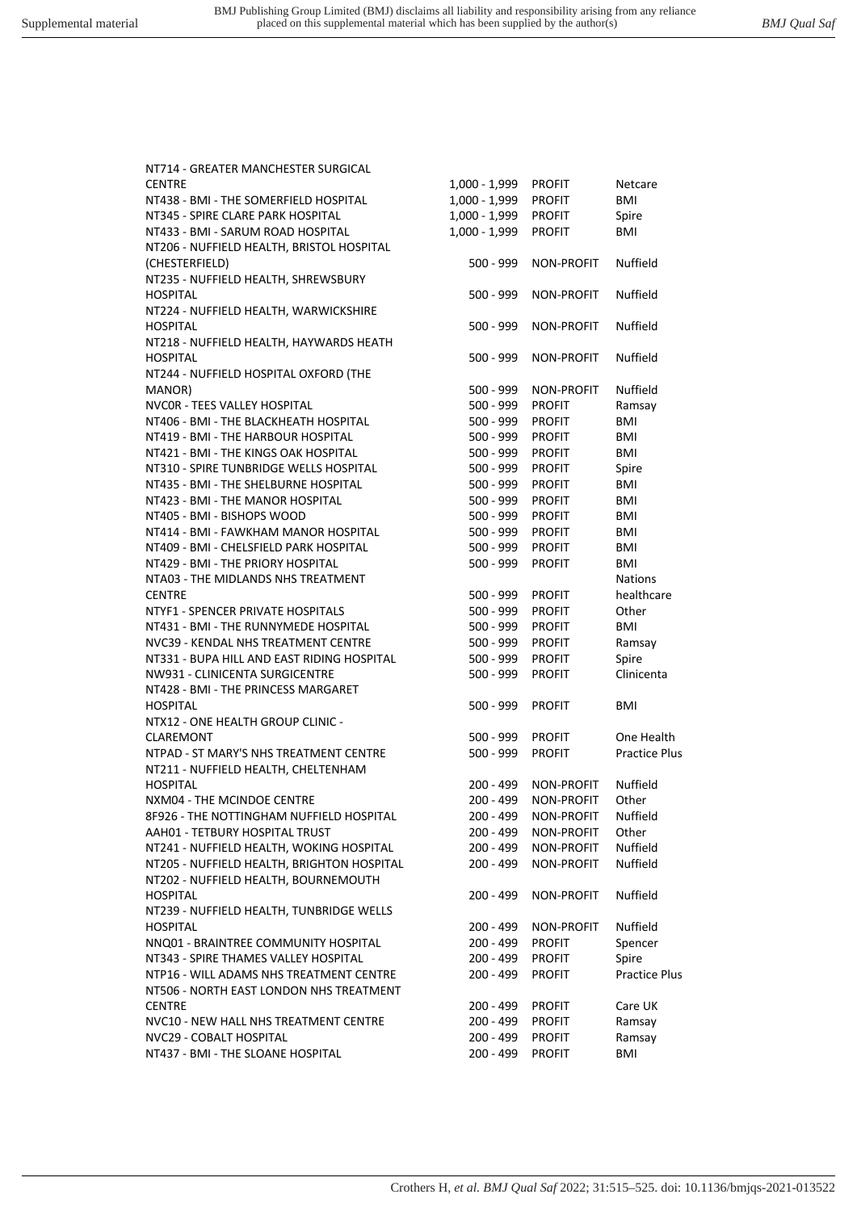NT714 - GREATER MANCHESTER SURGICAL

| <u>IVI / 14 - UNLATEN IVIAIVUTESTEN SUNUICAL</u> |                 |                      |                      |
|--------------------------------------------------|-----------------|----------------------|----------------------|
| CENTRE                                           | $1,000 - 1,999$ | <b>PROFIT</b>        | Netcare              |
| NT438 - BMI - THE SOMERFIELD HOSPITAL            | $1,000 - 1,999$ | <b>PROFIT</b>        | <b>BMI</b>           |
| NT345 - SPIRE CLARE PARK HOSPITAL                | 1,000 - 1,999   | <b>PROFIT</b>        | Spire                |
| NT433 - BMI - SARUM ROAD HOSPITAL                | $1,000 - 1,999$ | <b>PROFIT</b>        | BMI                  |
| NT206 - NUFFIELD HEALTH, BRISTOL HOSPITAL        |                 |                      |                      |
| (CHESTERFIELD)                                   | $500 - 999$     | NON-PROFIT           | Nuffield             |
| NT235 - NUFFIELD HEALTH, SHREWSBURY              |                 |                      |                      |
| <b>HOSPITAL</b>                                  | $500 - 999$     | NON-PROFIT           | <b>Nuffield</b>      |
|                                                  |                 |                      |                      |
| NT224 - NUFFIELD HEALTH, WARWICKSHIRE            |                 |                      |                      |
| <b>HOSPITAL</b>                                  | 500 - 999       | NON-PROFIT           | Nuffield             |
| NT218 - NUFFIELD HEALTH, HAYWARDS HEATH          |                 |                      |                      |
| <b>HOSPITAL</b>                                  | 500 - 999       | <b>NON-PROFIT</b>    | Nuffield             |
| NT244 - NUFFIELD HOSPITAL OXFORD (THE            |                 |                      |                      |
| MANOR)                                           | 500 - 999       | <b>NON-PROFIT</b>    | Nuffield             |
| NVCOR - TEES VALLEY HOSPITAL                     | 500 - 999       | <b>PROFIT</b>        | Ramsay               |
| NT406 - BMI - THE BLACKHEATH HOSPITAL            | $500 - 999$     | <b>PROFIT</b>        | BMI                  |
| NT419 - BMI - THE HARBOUR HOSPITAL               | $500 - 999$     | <b>PROFIT</b>        | <b>BMI</b>           |
| NT421 - BMI - THE KINGS OAK HOSPITAL             | 500 - 999       | <b>PROFIT</b>        | BMI                  |
| NT310 - SPIRE TUNBRIDGE WELLS HOSPITAL           | 500 - 999       | <b>PROFIT</b>        | Spire                |
| NT435 - BMI - THE SHELBURNE HOSPITAL             | $500 - 999$     | <b>PROFIT</b>        | BMI                  |
| NT423 - BMI - THE MANOR HOSPITAL                 | 500 - 999       | <b>PROFIT</b>        | BMI                  |
| NT405 - BMI - BISHOPS WOOD                       | 500 - 999       | <b>PROFIT</b>        | <b>BMI</b>           |
| NT414 - BMI - FAWKHAM MANOR HOSPITAL             | $500 - 999$     | <b>PROFIT</b>        | BMI                  |
| NT409 - BMI - CHELSFIELD PARK HOSPITAL           | $500 - 999$     | <b>PROFIT</b>        | BMI                  |
| NT429 - BMI - THE PRIORY HOSPITAL                | 500 - 999       | <b>PROFIT</b>        | BMI                  |
| NTA03 - THE MIDLANDS NHS TREATMENT               |                 |                      | <b>Nations</b>       |
| CENTRE                                           | 500 - 999       | <b>PROFIT</b>        | healthcare           |
| NTYF1 - SPENCER PRIVATE HOSPITALS                | 500 - 999       | <b>PROFIT</b>        | Other                |
| NT431 - BMI - THE RUNNYMEDE HOSPITAL             | $500 - 999$     | <b>PROFIT</b>        | BMI                  |
| NVC39 - KENDAL NHS TREATMENT CENTRE              | $500 - 999$     |                      |                      |
|                                                  |                 | <b>PROFIT</b>        | Ramsay               |
| NT331 - BUPA HILL AND EAST RIDING HOSPITAL       | 500 - 999       | <b>PROFIT</b>        | Spire                |
| NW931 - CLINICENTA SURGICENTRE                   | $500 - 999$     | <b>PROFIT</b>        | Clinicenta           |
| NT428 - BMI - THE PRINCESS MARGARET              |                 |                      |                      |
| HOSPITAL                                         | 500 - 999       | <b>PROFIT</b>        | BMI                  |
| NTX12 - ONE HEALTH GROUP CLINIC -                |                 |                      |                      |
| <b>CLAREMONT</b>                                 | 500 - 999       | <b>PROFIT</b>        | One Health           |
| NTPAD - ST MARY'S NHS TREATMENT CENTRE           | $500 - 999$     | <b>PROFIT</b>        | <b>Practice Plus</b> |
| NT211 - NUFFIELD HEALTH, CHELTENHAM              |                 |                      |                      |
| HOSPITAL                                         | $200 - 499$     | NON-PROFIT           | Nuffield             |
| NXM04 - THE MCINDOE CENTRE                       | $200 - 499$     | NON-PROFIT           | Other                |
| 8F926 - THE NOTTINGHAM NUFFIELD HOSPITAL         |                 | 200 - 499 NON-PROFIT | Nuffield             |
| AAH01 - TETBURY HOSPITAL TRUST                   | $200 - 499$     | NON-PROFIT           | Other                |
| NT241 - NUFFIELD HEALTH, WOKING HOSPITAL         | 200 - 499       | NON-PROFIT           | Nuffield             |
| NT205 - NUFFIELD HEALTH, BRIGHTON HOSPITAL       | 200 - 499       | NON-PROFIT           | Nuffield             |
| NT202 - NUFFIELD HEALTH, BOURNEMOUTH             |                 |                      |                      |
| <b>HOSPITAL</b>                                  | 200 - 499       | NON-PROFIT           | Nuffield             |
| NT239 - NUFFIELD HEALTH, TUNBRIDGE WELLS         |                 |                      |                      |
| HOSPITAL                                         | $200 - 499$     | NON-PROFIT           | Nuffield             |
| NNQ01 - BRAINTREE COMMUNITY HOSPITAL             | $200 - 499$     | <b>PROFIT</b>        | Spencer              |
| NT343 - SPIRE THAMES VALLEY HOSPITAL             | 200 - 499       | <b>PROFIT</b>        | Spire                |
|                                                  |                 |                      |                      |
| NTP16 - WILL ADAMS NHS TREATMENT CENTRE          | 200 - 499       | <b>PROFIT</b>        | <b>Practice Plus</b> |
| NT506 - NORTH EAST LONDON NHS TREATMENT          |                 |                      |                      |
| <b>CENTRE</b>                                    | 200 - 499       | <b>PROFIT</b>        | Care UK              |
| NVC10 - NEW HALL NHS TREATMENT CENTRE            | 200 - 499       | <b>PROFIT</b>        | Ramsay               |
| NVC29 - COBALT HOSPITAL                          | 200 - 499       | <b>PROFIT</b>        | Ramsay               |
| NT437 - BMI - THE SLOANE HOSPITAL                | 200 - 499       | <b>PROFIT</b>        | BMI                  |
|                                                  |                 |                      |                      |

Crothers H*, et al. BMJ Qual Saf* 2022; 31:515–525. doi: 10.1136/bmjqs-2021-013522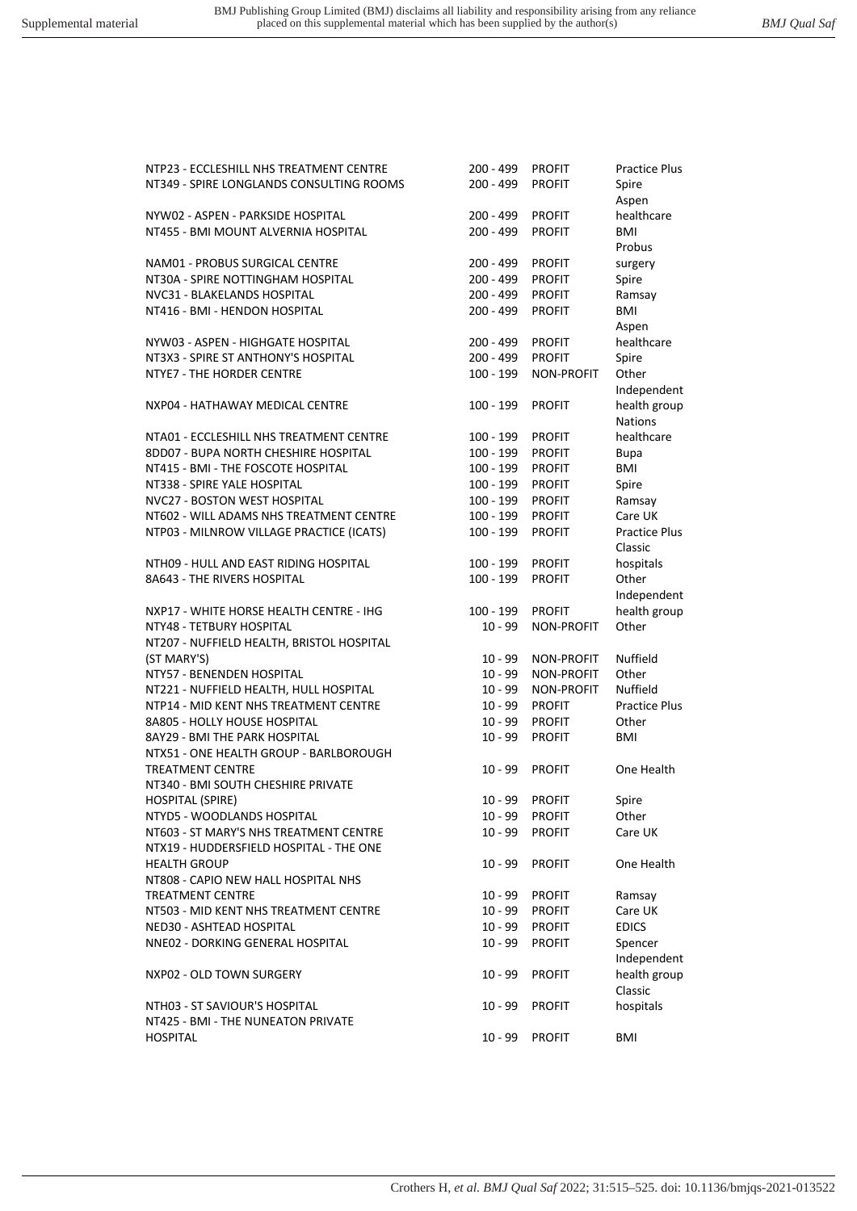| NTP23 - ECCLESHILL NHS TREATMENT CENTRE<br>NT349 - SPIRE LONGLANDS CONSULTING ROOMS | $200 - 499$<br>$200 - 499$ | <b>PROFIT</b><br><b>PROFIT</b> | <b>Practice Plus</b><br>Spire   |
|-------------------------------------------------------------------------------------|----------------------------|--------------------------------|---------------------------------|
|                                                                                     |                            |                                | Aspen                           |
| NYW02 - ASPEN - PARKSIDE HOSPITAL                                                   | 200 - 499                  | <b>PROFIT</b>                  | healthcare                      |
| NT455 - BMI MOUNT ALVERNIA HOSPITAL                                                 | 200 - 499                  | <b>PROFIT</b>                  | BMI<br>Probus                   |
| NAM01 - PROBUS SURGICAL CENTRE                                                      | 200 - 499                  | <b>PROFIT</b>                  | surgery                         |
| NT30A - SPIRE NOTTINGHAM HOSPITAL                                                   | 200 - 499                  | <b>PROFIT</b>                  | Spire                           |
| NVC31 - BLAKELANDS HOSPITAL                                                         | 200 - 499                  | <b>PROFIT</b>                  | Ramsay                          |
| NT416 - BMI - HENDON HOSPITAL                                                       | 200 - 499                  | <b>PROFIT</b>                  | BMI                             |
|                                                                                     |                            |                                | Aspen                           |
| NYW03 - ASPEN - HIGHGATE HOSPITAL                                                   | 200 - 499                  | <b>PROFIT</b>                  | healthcare                      |
| NT3X3 - SPIRE ST ANTHONY'S HOSPITAL                                                 | 200 - 499                  | <b>PROFIT</b>                  | Spire                           |
| NTYE7 - THE HORDER CENTRE                                                           | 100 - 199                  | <b>NON-PROFIT</b>              | Other                           |
|                                                                                     |                            |                                | Independent                     |
| NXP04 - HATHAWAY MEDICAL CENTRE                                                     | 100 - 199                  | <b>PROFIT</b>                  | health group<br><b>Nations</b>  |
| NTA01 - ECCLESHILL NHS TREATMENT CENTRE                                             | 100 - 199                  | <b>PROFIT</b>                  | healthcare                      |
| 8DD07 - BUPA NORTH CHESHIRE HOSPITAL                                                | 100 - 199                  | <b>PROFIT</b>                  | <b>Bupa</b>                     |
| NT415 - BMI - THE FOSCOTE HOSPITAL                                                  | 100 - 199                  | <b>PROFIT</b>                  | BMI                             |
| NT338 - SPIRE YALE HOSPITAL                                                         | $100 - 199$                | <b>PROFIT</b>                  | Spire                           |
| NVC27 - BOSTON WEST HOSPITAL                                                        | $100 - 199$                | <b>PROFIT</b>                  | Ramsay                          |
| NT602 - WILL ADAMS NHS TREATMENT CENTRE                                             | 100 - 199                  | <b>PROFIT</b>                  | Care UK                         |
| NTP03 - MILNROW VILLAGE PRACTICE (ICATS)                                            | 100 - 199                  | <b>PROFIT</b>                  | <b>Practice Plus</b><br>Classic |
| NTH09 - HULL AND EAST RIDING HOSPITAL                                               | 100 - 199                  | <b>PROFIT</b>                  | hospitals                       |
| 8A643 - THE RIVERS HOSPITAL                                                         | $100 - 199$                | <b>PROFIT</b>                  | Other                           |
|                                                                                     |                            |                                | Independent                     |
| NXP17 - WHITE HORSE HEALTH CENTRE - IHG                                             | 100 - 199                  | <b>PROFIT</b>                  | health group                    |
| NTY48 - TETBURY HOSPITAL                                                            | $10 - 99$                  | <b>NON-PROFIT</b>              | Other                           |
| NT207 - NUFFIELD HEALTH, BRISTOL HOSPITAL                                           |                            |                                |                                 |
| (ST MARY'S)                                                                         | $10 - 99$                  | <b>NON-PROFIT</b>              | Nuffield                        |
| NTY57 - BENENDEN HOSPITAL                                                           | $10 - 99$                  | NON-PROFIT                     | Other                           |
| NT221 - NUFFIELD HEALTH, HULL HOSPITAL                                              | $10 - 99$                  | <b>NON-PROFIT</b>              | Nuffield                        |
| NTP14 - MID KENT NHS TREATMENT CENTRE                                               | $10 - 99$                  | <b>PROFIT</b>                  | <b>Practice Plus</b>            |
| 8A805 - HOLLY HOUSE HOSPITAL                                                        | $10 - 99$                  | <b>PROFIT</b>                  | Other                           |
| 8AY29 - BMI THE PARK HOSPITAL                                                       | $10 - 99$                  | <b>PROFIT</b>                  | BMI                             |
| NTX51 - ONE HEALTH GROUP - BARLBOROUGH                                              |                            |                                |                                 |
| <b>TREATMENT CENTRE</b>                                                             | $10 - 99$                  | <b>PROFIT</b>                  | One Health                      |
| NT340 - BMI SOUTH CHESHIRE PRIVATE                                                  |                            |                                |                                 |
| <b>HOSPITAL (SPIRE)</b>                                                             | $10 - 99$                  | <b>PROFIT</b>                  | Spire                           |
| NTYD5 - WOODLANDS HOSPITAL                                                          | $10 - 99$                  | <b>PROFIT</b>                  | Other                           |
| NT603 - ST MARY'S NHS TREATMENT CENTRE                                              | $10 - 99$                  | <b>PROFIT</b>                  | Care UK                         |
| NTX19 - HUDDERSFIELD HOSPITAL - THE ONE                                             |                            |                                |                                 |
| <b>HEALTH GROUP</b>                                                                 | $10 - 99$                  | <b>PROFIT</b>                  | One Health                      |
| NT808 - CAPIO NEW HALL HOSPITAL NHS                                                 |                            |                                |                                 |
| <b>TREATMENT CENTRE</b>                                                             | $10 - 99$                  | <b>PROFIT</b>                  | Ramsay                          |
| NT503 - MID KENT NHS TREATMENT CENTRE                                               | $10 - 99$                  | <b>PROFIT</b>                  | Care UK                         |
| NED30 - ASHTEAD HOSPITAL                                                            | $10 - 99$                  | <b>PROFIT</b>                  | <b>EDICS</b>                    |
| NNE02 - DORKING GENERAL HOSPITAL                                                    | $10 - 99$                  | <b>PROFIT</b>                  | Spencer                         |
|                                                                                     |                            |                                | Independent                     |
| NXP02 - OLD TOWN SURGERY                                                            | $10 - 99$                  | <b>PROFIT</b>                  | health group                    |
|                                                                                     |                            |                                | Classic                         |
| NTH03 - ST SAVIOUR'S HOSPITAL                                                       | $10 - 99$                  | <b>PROFIT</b>                  | hospitals                       |
| NT425 - BMI - THE NUNEATON PRIVATE                                                  |                            |                                |                                 |
| <b>HOSPITAL</b>                                                                     | $10 - 99$                  | <b>PROFIT</b>                  | BMI                             |